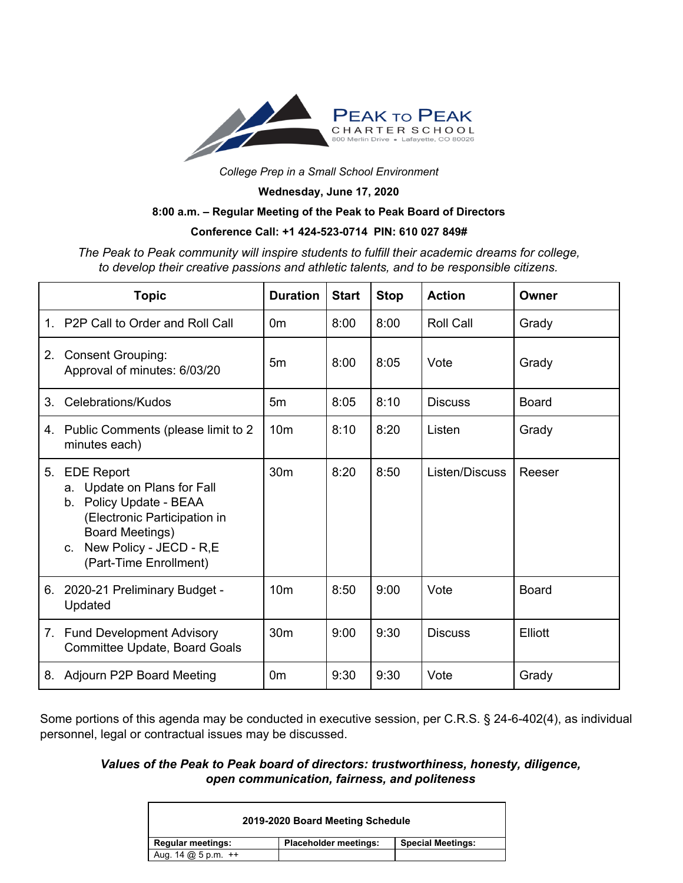

*College Prep in a Small School Environment*

**Wednesday, June 17, 2020**

## **8:00 a.m. – Regular Meeting of the Peak to Peak Board of Directors**

## **Conference Call: +1 424-523-0714 PIN: 610 027 849#**

*The Peak to Peak community will inspire students to fulfill their academic dreams for college, to develop their creative passions and athletic talents, and to be responsible citizens.*

|                | <b>Topic</b>                                                                                                                                                                                                | <b>Duration</b> | <b>Start</b> | <b>Stop</b> | <b>Action</b>    | Owner        |
|----------------|-------------------------------------------------------------------------------------------------------------------------------------------------------------------------------------------------------------|-----------------|--------------|-------------|------------------|--------------|
| $\mathbf{1}$ . | P <sub>2</sub> P Call to Order and Roll Call                                                                                                                                                                | 0m              | 8:00         | 8:00        | <b>Roll Call</b> | Grady        |
| 2.             | <b>Consent Grouping:</b><br>Approval of minutes: 6/03/20                                                                                                                                                    | 5m              | 8:00         | 8:05        | Vote             | Grady        |
| 3.             | Celebrations/Kudos                                                                                                                                                                                          | 5m              | 8:05         | 8:10        | <b>Discuss</b>   | <b>Board</b> |
| 4.             | Public Comments (please limit to 2<br>minutes each)                                                                                                                                                         | 10 <sub>m</sub> | 8:10         | 8:20        | Listen           | Grady        |
| 5.             | <b>EDE Report</b><br>Update on Plans for Fall<br>a.<br>Policy Update - BEAA<br>b.<br>(Electronic Participation in<br><b>Board Meetings)</b><br>New Policy - JECD - R,E<br>$C_{1}$<br>(Part-Time Enrollment) | 30 <sub>m</sub> | 8:20         | 8:50        | Listen/Discuss   | Reeser       |
| 6.             | 2020-21 Preliminary Budget -<br>Updated                                                                                                                                                                     | 10 <sub>m</sub> | 8:50         | 9:00        | Vote             | <b>Board</b> |
|                | 7. Fund Development Advisory<br>Committee Update, Board Goals                                                                                                                                               | 30 <sub>m</sub> | 9:00         | 9:30        | <b>Discuss</b>   | Elliott      |
| 8.             | <b>Adjourn P2P Board Meeting</b>                                                                                                                                                                            | 0m              | 9:30         | 9:30        | Vote             | Grady        |

Some portions of this agenda may be conducted in executive session, per C.R.S. § 24-6-402(4), as individual personnel, legal or contractual issues may be discussed.

## *Values of the Peak to Peak board of directors: trustworthiness, honesty, diligence, open communication, fairness, and politeness*

| 2019-2020 Board Meeting Schedule                                                                   |                              |                          |  |  |  |  |  |
|----------------------------------------------------------------------------------------------------|------------------------------|--------------------------|--|--|--|--|--|
| <b>Regular meetings:</b>                                                                           | <b>Placeholder meetings:</b> | <b>Special Meetings:</b> |  |  |  |  |  |
| Aug. $14 \text{ } \text{ } \text{ } 25 \text{ } \text{p} \text{ } \text{ } m \text{ } +\text{ } +$ |                              |                          |  |  |  |  |  |